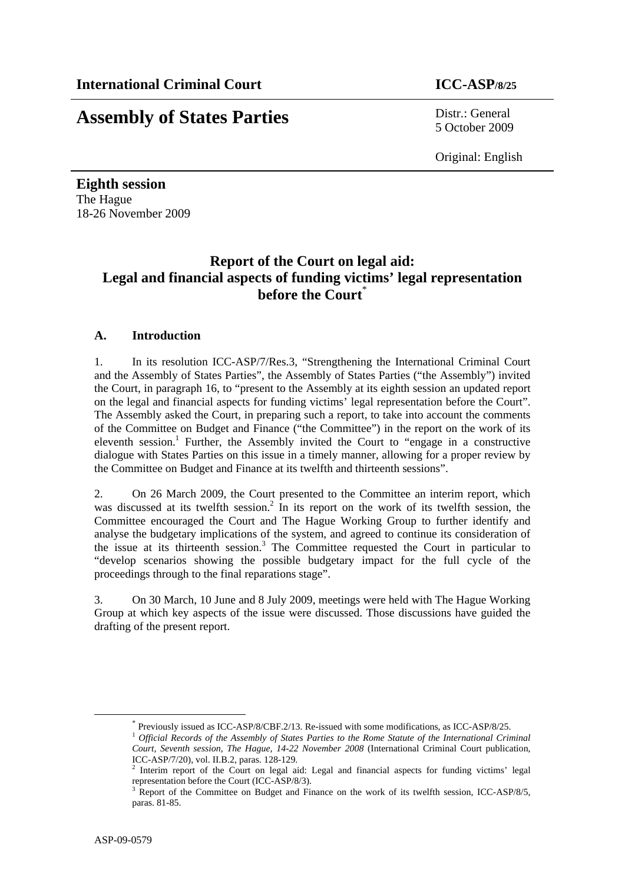# **Assembly of States Parties** Distr.: General

5 October 2009

Original: English

**Eighth session**  The Hague 18-26 November 2009

# **Report of the Court on legal aid: Legal and financial aspects of funding victims' legal representation before the Court**\*

## **A. Introduction**

1. In its resolution ICC-ASP/7/Res.3, "Strengthening the International Criminal Court and the Assembly of States Parties", the Assembly of States Parties ("the Assembly") invited the Court, in paragraph 16, to "present to the Assembly at its eighth session an updated report on the legal and financial aspects for funding victims' legal representation before the Court". The Assembly asked the Court, in preparing such a report, to take into account the comments of the Committee on Budget and Finance ("the Committee") in the report on the work of its eleventh session.<sup>1</sup> Further, the Assembly invited the Court to "engage in a constructive dialogue with States Parties on this issue in a timely manner, allowing for a proper review by the Committee on Budget and Finance at its twelfth and thirteenth sessions".

2. On 26 March 2009, the Court presented to the Committee an interim report, which was discussed at its twelfth session.<sup>2</sup> In its report on the work of its twelfth session, the Committee encouraged the Court and The Hague Working Group to further identify and analyse the budgetary implications of the system, and agreed to continue its consideration of the issue at its thirteenth session.<sup>3</sup> The Committee requested the Court in particular to "develop scenarios showing the possible budgetary impact for the full cycle of the proceedings through to the final reparations stage".

3. On 30 March, 10 June and 8 July 2009, meetings were held with The Hague Working Group at which key aspects of the issue were discussed. Those discussions have guided the drafting of the present report.

 <sup>\*</sup> Previously issued as ICC-ASP/8/CBF.2/13. Re-issued with some modifications, as ICC-ASP/8/25. <sup>1</sup> *Official Records of the Assembly of States Parties to the Rome Statute of the International Criminal* 

*Court, Seventh session, The Hague, 14-22 November 2008* (International Criminal Court publication, ICC-ASP/7/20), vol. II.B.2, paras. 128-129.

<sup>2</sup> Interim report of the Court on legal aid: Legal and financial aspects for funding victims' legal representation before the Court (ICC-ASP/8/3).

<sup>&</sup>lt;sup>3</sup> Report of the Committee on Budget and Finance on the work of its twelfth session, ICC-ASP/8/5, paras. 81-85.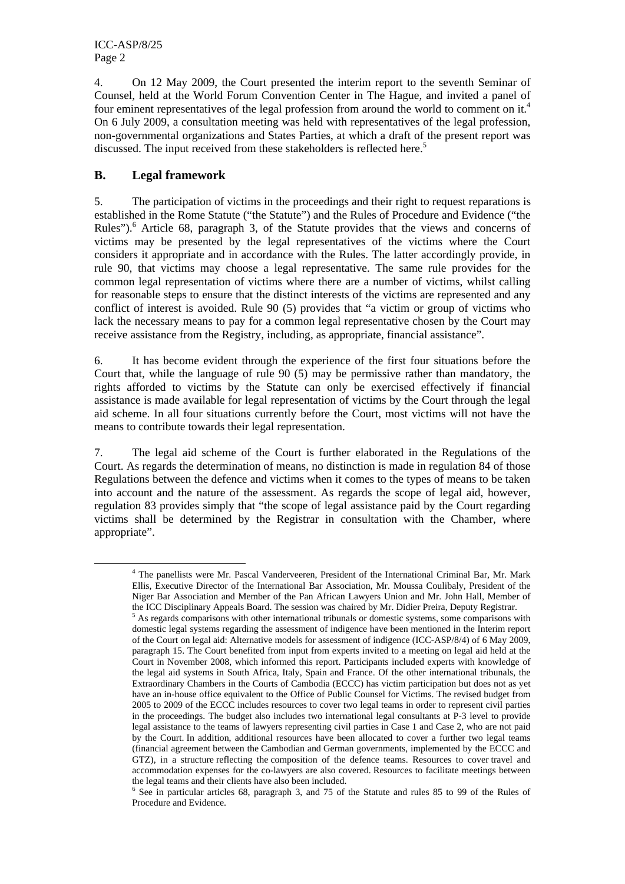4. On 12 May 2009, the Court presented the interim report to the seventh Seminar of Counsel, held at the World Forum Convention Center in The Hague, and invited a panel of four eminent representatives of the legal profession from around the world to comment on it.<sup>4</sup> On 6 July 2009, a consultation meeting was held with representatives of the legal profession, non-governmental organizations and States Parties, at which a draft of the present report was discussed. The input received from these stakeholders is reflected here.<sup>5</sup>

### **B. Legal framework**

5. The participation of victims in the proceedings and their right to request reparations is established in the Rome Statute ("the Statute") and the Rules of Procedure and Evidence ("the Rules"). $<sup>6</sup>$  Article 68, paragraph 3, of the Statute provides that the views and concerns of</sup> victims may be presented by the legal representatives of the victims where the Court considers it appropriate and in accordance with the Rules. The latter accordingly provide, in rule 90, that victims may choose a legal representative. The same rule provides for the common legal representation of victims where there are a number of victims, whilst calling for reasonable steps to ensure that the distinct interests of the victims are represented and any conflict of interest is avoided. Rule 90 (5) provides that "a victim or group of victims who lack the necessary means to pay for a common legal representative chosen by the Court may receive assistance from the Registry, including, as appropriate, financial assistance".

6. It has become evident through the experience of the first four situations before the Court that, while the language of rule 90 (5) may be permissive rather than mandatory, the rights afforded to victims by the Statute can only be exercised effectively if financial assistance is made available for legal representation of victims by the Court through the legal aid scheme. In all four situations currently before the Court, most victims will not have the means to contribute towards their legal representation.

7. The legal aid scheme of the Court is further elaborated in the Regulations of the Court. As regards the determination of means, no distinction is made in regulation 84 of those Regulations between the defence and victims when it comes to the types of means to be taken into account and the nature of the assessment. As regards the scope of legal aid, however, regulation 83 provides simply that "the scope of legal assistance paid by the Court regarding victims shall be determined by the Registrar in consultation with the Chamber, where appropriate".

 $\frac{1}{4}$  The panellists were Mr. Pascal Vanderveeren, President of the International Criminal Bar, Mr. Mark Ellis, Executive Director of the International Bar Association, Mr. Moussa Coulibaly, President of the Niger Bar Association and Member of the Pan African Lawyers Union and Mr. John Hall, Member of the ICC Disciplinary Appeals Board. The session was chaired by Mr. Didier Preira, Deputy Registrar. 5

 $\frac{48.262 \text{ m}^2}{2}$  as regards comparisons with other international tribunals or domestic systems, some comparisons with domestic legal systems regarding the assessment of indigence have been mentioned in the Interim report of the Court on legal aid: Alternative models for assessment of indigence (ICC-ASP/8/4) of 6 May 2009, paragraph 15. The Court benefited from input from experts invited to a meeting on legal aid held at the Court in November 2008, which informed this report. Participants included experts with knowledge of the legal aid systems in South Africa, Italy, Spain and France. Of the other international tribunals, the Extraordinary Chambers in the Courts of Cambodia (ECCC) has victim participation but does not as yet have an in-house office equivalent to the Office of Public Counsel for Victims. The revised budget from 2005 to 2009 of the ECCC includes resources to cover two legal teams in order to represent civil parties in the proceedings. The budget also includes two international legal consultants at P-3 level to provide legal assistance to the teams of lawyers representing civil parties in Case 1 and Case 2, who are not paid by the Court. In addition, additional resources have been allocated to cover a further two legal teams (financial agreement between the Cambodian and German governments, implemented by the ECCC and GTZ), in a structure reflecting the composition of the defence teams. Resources to cover travel and accommodation expenses for the co-lawyers are also covered. Resources to facilitate meetings between the legal teams and their clients have also been included.

<sup>&</sup>lt;sup>6</sup> See in particular articles 68, paragraph 3, and 75 of the Statute and rules 85 to 99 of the Rules of Procedure and Evidence.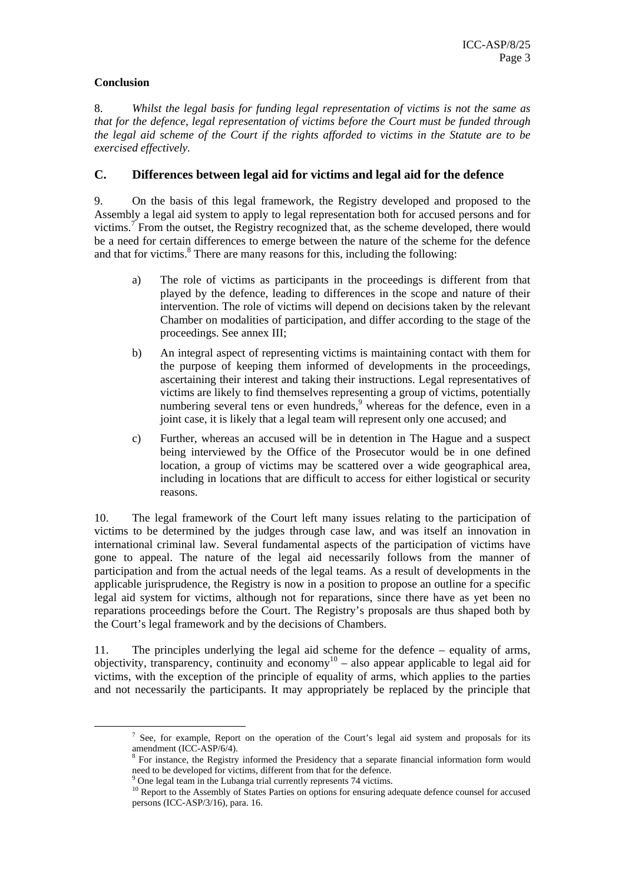### **Conclusion**

8. *Whilst the legal basis for funding legal representation of victims is not the same as that for the defence, legal representation of victims before the Court must be funded through the legal aid scheme of the Court if the rights afforded to victims in the Statute are to be exercised effectively.* 

### **C. Differences between legal aid for victims and legal aid for the defence**

9. On the basis of this legal framework, the Registry developed and proposed to the Assembly a legal aid system to apply to legal representation both for accused persons and for victims.<sup>7</sup> From the outset, the Registry recognized that, as the scheme developed, there would be a need for certain differences to emerge between the nature of the scheme for the defence and that for victims.<sup>8</sup> There are many reasons for this, including the following:

- a) The role of victims as participants in the proceedings is different from that played by the defence, leading to differences in the scope and nature of their intervention. The role of victims will depend on decisions taken by the relevant Chamber on modalities of participation, and differ according to the stage of the proceedings. See annex III;
- b) An integral aspect of representing victims is maintaining contact with them for the purpose of keeping them informed of developments in the proceedings, ascertaining their interest and taking their instructions. Legal representatives of victims are likely to find themselves representing a group of victims, potentially numbering several tens or even hundreds,<sup>9</sup> whereas for the defence, even in a joint case, it is likely that a legal team will represent only one accused; and
- c) Further, whereas an accused will be in detention in The Hague and a suspect being interviewed by the Office of the Prosecutor would be in one defined location, a group of victims may be scattered over a wide geographical area, including in locations that are difficult to access for either logistical or security reasons.

10. The legal framework of the Court left many issues relating to the participation of victims to be determined by the judges through case law, and was itself an innovation in international criminal law. Several fundamental aspects of the participation of victims have gone to appeal. The nature of the legal aid necessarily follows from the manner of participation and from the actual needs of the legal teams. As a result of developments in the applicable jurisprudence, the Registry is now in a position to propose an outline for a specific legal aid system for victims, although not for reparations, since there have as yet been no reparations proceedings before the Court. The Registry's proposals are thus shaped both by the Court's legal framework and by the decisions of Chambers.

11. The principles underlying the legal aid scheme for the defence – equality of arms, objectivity, transparency, continuity and economy<sup>10</sup> – also appear applicable to legal aid for victims, with the exception of the principle of equality of arms, which applies to the parties and not necessarily the participants. It may appropriately be replaced by the principle that

 $\frac{1}{7}$  $\frac{7}{1}$  See, for example, Report on the operation of the Court's legal aid system and proposals for its

amendment (ICC-ASP/6/4).<br><sup>8</sup> For instance, the Registry informed the Presidency that a separate financial information form would need to be developed for victims, different from that for the defence.

 $9^9$  One legal team in the Lubanga trial currently represents 74 victims.

<sup>&</sup>lt;sup>10</sup> Report to the Assembly of States Parties on options for ensuring adequate defence counsel for accused persons (ICC-ASP/3/16), para. 16.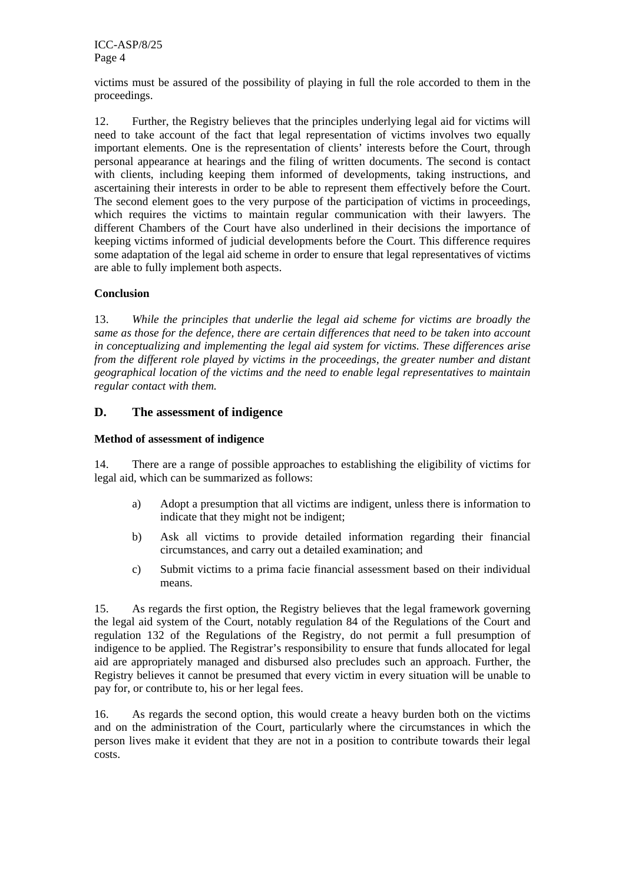victims must be assured of the possibility of playing in full the role accorded to them in the proceedings.

12. Further, the Registry believes that the principles underlying legal aid for victims will need to take account of the fact that legal representation of victims involves two equally important elements. One is the representation of clients' interests before the Court, through personal appearance at hearings and the filing of written documents. The second is contact with clients, including keeping them informed of developments, taking instructions, and ascertaining their interests in order to be able to represent them effectively before the Court. The second element goes to the very purpose of the participation of victims in proceedings, which requires the victims to maintain regular communication with their lawyers. The different Chambers of the Court have also underlined in their decisions the importance of keeping victims informed of judicial developments before the Court. This difference requires some adaptation of the legal aid scheme in order to ensure that legal representatives of victims are able to fully implement both aspects.

#### **Conclusion**

13. *While the principles that underlie the legal aid scheme for victims are broadly the same as those for the defence, there are certain differences that need to be taken into account in conceptualizing and implementing the legal aid system for victims. These differences arise from the different role played by victims in the proceedings, the greater number and distant geographical location of the victims and the need to enable legal representatives to maintain regular contact with them.* 

### **D. The assessment of indigence**

#### **Method of assessment of indigence**

14. There are a range of possible approaches to establishing the eligibility of victims for legal aid, which can be summarized as follows:

- a) Adopt a presumption that all victims are indigent, unless there is information to indicate that they might not be indigent;
- b) Ask all victims to provide detailed information regarding their financial circumstances, and carry out a detailed examination; and
- c) Submit victims to a prima facie financial assessment based on their individual means.

15. As regards the first option, the Registry believes that the legal framework governing the legal aid system of the Court, notably regulation 84 of the Regulations of the Court and regulation 132 of the Regulations of the Registry, do not permit a full presumption of indigence to be applied. The Registrar's responsibility to ensure that funds allocated for legal aid are appropriately managed and disbursed also precludes such an approach. Further, the Registry believes it cannot be presumed that every victim in every situation will be unable to pay for, or contribute to, his or her legal fees.

16. As regards the second option, this would create a heavy burden both on the victims and on the administration of the Court, particularly where the circumstances in which the person lives make it evident that they are not in a position to contribute towards their legal costs.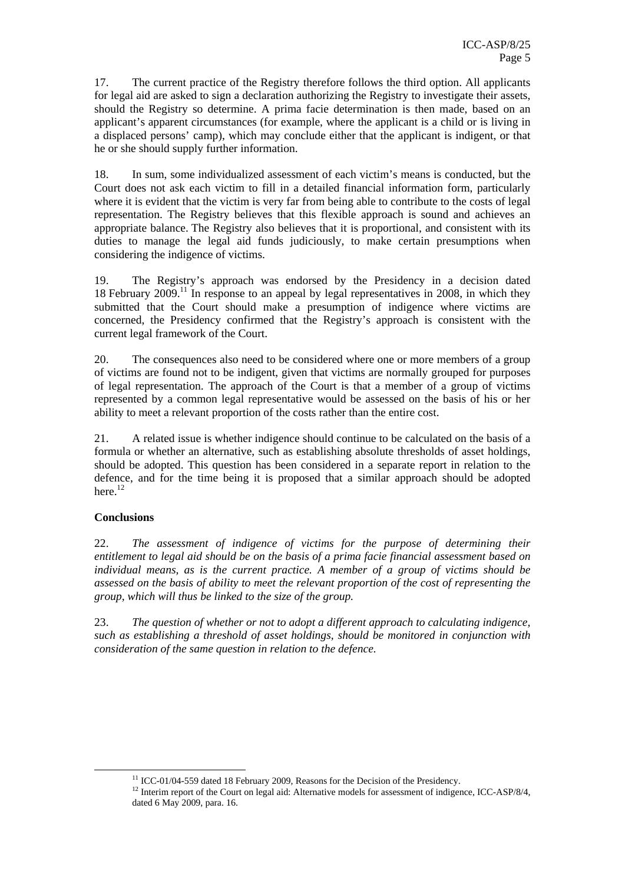17. The current practice of the Registry therefore follows the third option. All applicants for legal aid are asked to sign a declaration authorizing the Registry to investigate their assets, should the Registry so determine. A prima facie determination is then made, based on an applicant's apparent circumstances (for example, where the applicant is a child or is living in a displaced persons' camp), which may conclude either that the applicant is indigent, or that he or she should supply further information.

18. In sum, some individualized assessment of each victim's means is conducted, but the Court does not ask each victim to fill in a detailed financial information form, particularly where it is evident that the victim is very far from being able to contribute to the costs of legal representation. The Registry believes that this flexible approach is sound and achieves an appropriate balance. The Registry also believes that it is proportional, and consistent with its duties to manage the legal aid funds judiciously, to make certain presumptions when considering the indigence of victims.

19. The Registry's approach was endorsed by the Presidency in a decision dated 18 February 2009.11 In response to an appeal by legal representatives in 2008, in which they submitted that the Court should make a presumption of indigence where victims are concerned, the Presidency confirmed that the Registry's approach is consistent with the current legal framework of the Court.

20. The consequences also need to be considered where one or more members of a group of victims are found not to be indigent, given that victims are normally grouped for purposes of legal representation. The approach of the Court is that a member of a group of victims represented by a common legal representative would be assessed on the basis of his or her ability to meet a relevant proportion of the costs rather than the entire cost.

21. A related issue is whether indigence should continue to be calculated on the basis of a formula or whether an alternative, such as establishing absolute thresholds of asset holdings, should be adopted. This question has been considered in a separate report in relation to the defence, and for the time being it is proposed that a similar approach should be adopted here. $^{12}$ 

### **Conclusions**

22. *The assessment of indigence of victims for the purpose of determining their entitlement to legal aid should be on the basis of a prima facie financial assessment based on individual means, as is the current practice. A member of a group of victims should be assessed on the basis of ability to meet the relevant proportion of the cost of representing the group, which will thus be linked to the size of the group.* 

23. *The question of whether or not to adopt a different approach to calculating indigence, such as establishing a threshold of asset holdings, should be monitored in conjunction with consideration of the same question in relation to the defence.* 

 $11$  ICC-01/04-559 dated 18 February 2009, Reasons for the Decision of the Presidency.

<sup>&</sup>lt;sup>12</sup> Interim report of the Court on legal aid: Alternative models for assessment of indigence, ICC-ASP/8/4, dated 6 May 2009, para. 16.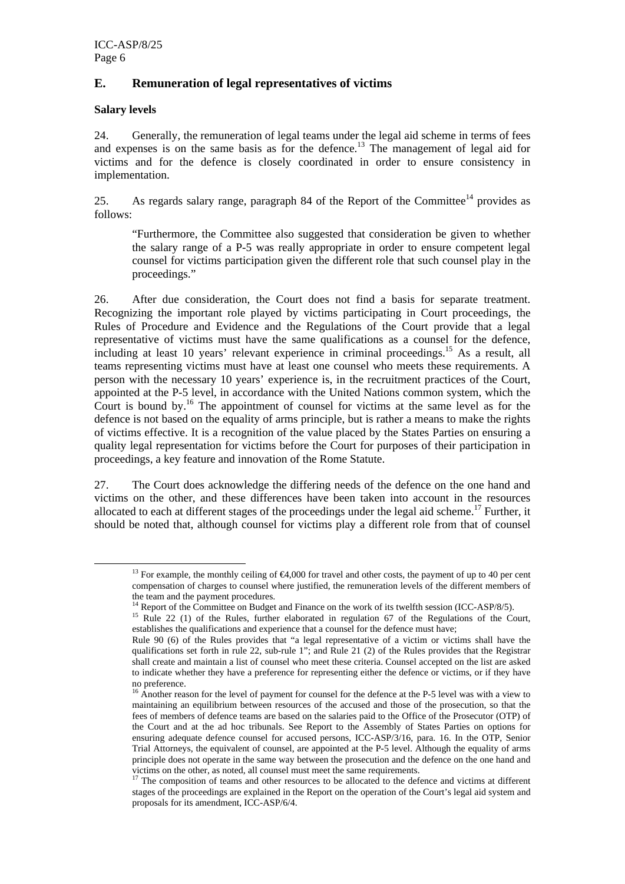### **E. Remuneration of legal representatives of victims**

### **Salary levels**

24. Generally, the remuneration of legal teams under the legal aid scheme in terms of fees and expenses is on the same basis as for the defence.<sup>13</sup> The management of legal aid for victims and for the defence is closely coordinated in order to ensure consistency in implementation.

25. As regards salary range, paragraph 84 of the Report of the Committee<sup>14</sup> provides as follows:

"Furthermore, the Committee also suggested that consideration be given to whether the salary range of a P-5 was really appropriate in order to ensure competent legal counsel for victims participation given the different role that such counsel play in the proceedings."

26. After due consideration, the Court does not find a basis for separate treatment. Recognizing the important role played by victims participating in Court proceedings, the Rules of Procedure and Evidence and the Regulations of the Court provide that a legal representative of victims must have the same qualifications as a counsel for the defence, including at least 10 years' relevant experience in criminal proceedings.<sup>15</sup> As a result, all teams representing victims must have at least one counsel who meets these requirements. A person with the necessary 10 years' experience is, in the recruitment practices of the Court, appointed at the P-5 level, in accordance with the United Nations common system, which the Court is bound by.16 The appointment of counsel for victims at the same level as for the defence is not based on the equality of arms principle, but is rather a means to make the rights of victims effective. It is a recognition of the value placed by the States Parties on ensuring a quality legal representation for victims before the Court for purposes of their participation in proceedings, a key feature and innovation of the Rome Statute.

27. The Court does acknowledge the differing needs of the defence on the one hand and victims on the other, and these differences have been taken into account in the resources allocated to each at different stages of the proceedings under the legal aid scheme.<sup>17</sup> Further, it should be noted that, although counsel for victims play a different role from that of counsel

<sup>&</sup>lt;sup>13</sup> For example, the monthly ceiling of  $$4,000$  for travel and other costs, the payment of up to 40 per cent compensation of charges to counsel where justified, the remuneration levels of the different members of the team and the payment procedures.<br><sup>14</sup> Report of the Committee on Budget and Finance on the work of its twelfth session (ICC-ASP/8/5).

<sup>&</sup>lt;sup>15</sup> Rule 22 (1) of the Rules, further elaborated in regulation 67 of the Regulations of the Court, establishes the qualifications and experience that a counsel for the defence must have;

Rule 90 (6) of the Rules provides that "a legal representative of a victim or victims shall have the qualifications set forth in rule 22, sub-rule 1"; and Rule 21 (2) of the Rules provides that the Registrar shall create and maintain a list of counsel who meet these criteria. Counsel accepted on the list are asked to indicate whether they have a preference for representing either the defence or victims, or if they have no preference.

<sup>&</sup>lt;sup>16</sup> Another reason for the level of payment for counsel for the defence at the P-5 level was with a view to maintaining an equilibrium between resources of the accused and those of the prosecution, so that the fees of members of defence teams are based on the salaries paid to the Office of the Prosecutor (OTP) of the Court and at the ad hoc tribunals. See Report to the Assembly of States Parties on options for ensuring adequate defence counsel for accused persons, ICC-ASP/3/16, para. 16. In the OTP, Senior Trial Attorneys, the equivalent of counsel, are appointed at the P-5 level. Although the equality of arms principle does not operate in the same way between the prosecution and the defence on the one hand and victims on the other, as noted, all counsel must meet the same requirements.<br><sup>17</sup> The composition of teams and other resources to be allocated to the defence and victims at different

stages of the proceedings are explained in the Report on the operation of the Court's legal aid system and proposals for its amendment, ICC-ASP/6/4.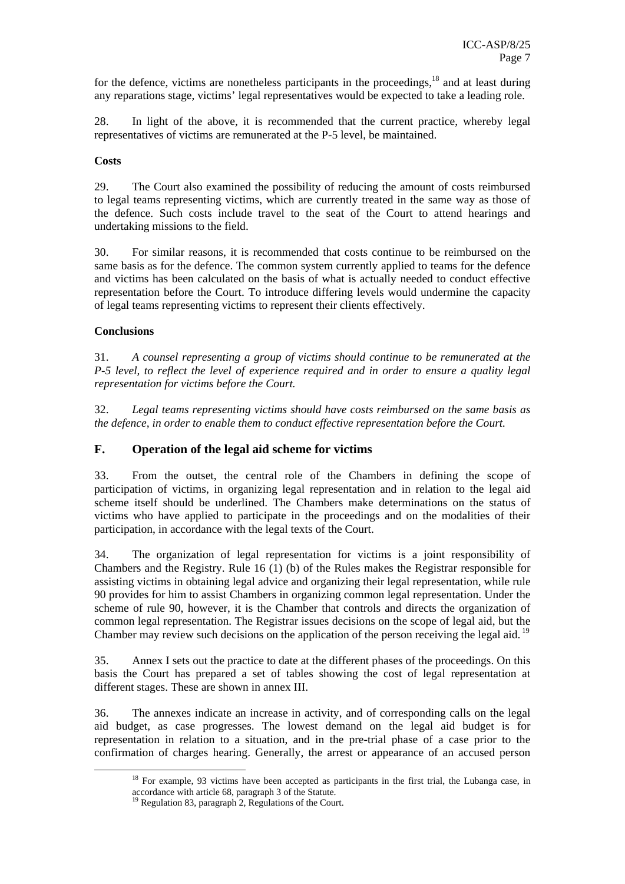for the defence, victims are nonetheless participants in the proceedings,<sup>18</sup> and at least during any reparations stage, victims' legal representatives would be expected to take a leading role.

28. In light of the above, it is recommended that the current practice, whereby legal representatives of victims are remunerated at the P-5 level, be maintained.

#### **Costs**

29. The Court also examined the possibility of reducing the amount of costs reimbursed to legal teams representing victims, which are currently treated in the same way as those of the defence. Such costs include travel to the seat of the Court to attend hearings and undertaking missions to the field.

30. For similar reasons, it is recommended that costs continue to be reimbursed on the same basis as for the defence. The common system currently applied to teams for the defence and victims has been calculated on the basis of what is actually needed to conduct effective representation before the Court. To introduce differing levels would undermine the capacity of legal teams representing victims to represent their clients effectively.

#### **Conclusions**

31. *A counsel representing a group of victims should continue to be remunerated at the P-5 level, to reflect the level of experience required and in order to ensure a quality legal representation for victims before the Court.* 

32. *Legal teams representing victims should have costs reimbursed on the same basis as the defence, in order to enable them to conduct effective representation before the Court.* 

#### **F. Operation of the legal aid scheme for victims**

33. From the outset, the central role of the Chambers in defining the scope of participation of victims, in organizing legal representation and in relation to the legal aid scheme itself should be underlined. The Chambers make determinations on the status of victims who have applied to participate in the proceedings and on the modalities of their participation, in accordance with the legal texts of the Court.

34. The organization of legal representation for victims is a joint responsibility of Chambers and the Registry. Rule 16 (1) (b) of the Rules makes the Registrar responsible for assisting victims in obtaining legal advice and organizing their legal representation, while rule 90 provides for him to assist Chambers in organizing common legal representation. Under the scheme of rule 90, however, it is the Chamber that controls and directs the organization of common legal representation. The Registrar issues decisions on the scope of legal aid, but the Chamber may review such decisions on the application of the person receiving the legal aid.  $19$ 

35. Annex I sets out the practice to date at the different phases of the proceedings. On this basis the Court has prepared a set of tables showing the cost of legal representation at different stages. These are shown in annex III.

36. The annexes indicate an increase in activity, and of corresponding calls on the legal aid budget, as case progresses. The lowest demand on the legal aid budget is for representation in relation to a situation, and in the pre-trial phase of a case prior to the confirmation of charges hearing. Generally, the arrest or appearance of an accused person

<sup>&</sup>lt;sup>18</sup> For example, 93 victims have been accepted as participants in the first trial, the Lubanga case, in accordance with article 68, paragraph 3 of the Statute.

<sup>19</sup> Regulation 83, paragraph 2, Regulations of the Court.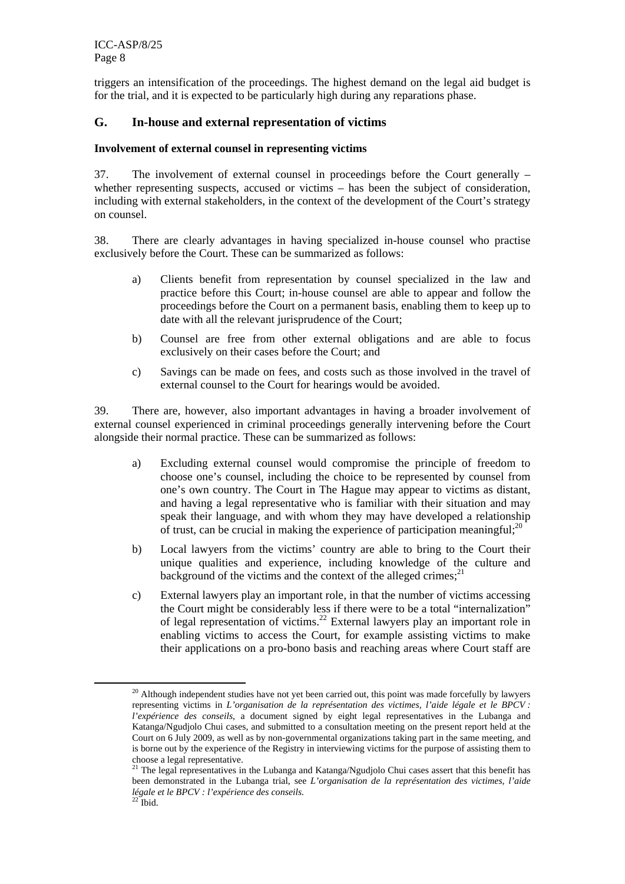triggers an intensification of the proceedings. The highest demand on the legal aid budget is for the trial, and it is expected to be particularly high during any reparations phase.

### **G. In-house and external representation of victims**

#### **Involvement of external counsel in representing victims**

37. The involvement of external counsel in proceedings before the Court generally – whether representing suspects, accused or victims – has been the subject of consideration, including with external stakeholders, in the context of the development of the Court's strategy on counsel.

38. There are clearly advantages in having specialized in-house counsel who practise exclusively before the Court. These can be summarized as follows:

- a) Clients benefit from representation by counsel specialized in the law and practice before this Court; in-house counsel are able to appear and follow the proceedings before the Court on a permanent basis, enabling them to keep up to date with all the relevant jurisprudence of the Court;
- b) Counsel are free from other external obligations and are able to focus exclusively on their cases before the Court; and
- c) Savings can be made on fees, and costs such as those involved in the travel of external counsel to the Court for hearings would be avoided.

39. There are, however, also important advantages in having a broader involvement of external counsel experienced in criminal proceedings generally intervening before the Court alongside their normal practice. These can be summarized as follows:

- a) Excluding external counsel would compromise the principle of freedom to choose one's counsel, including the choice to be represented by counsel from one's own country. The Court in The Hague may appear to victims as distant, and having a legal representative who is familiar with their situation and may speak their language, and with whom they may have developed a relationship of trust, can be crucial in making the experience of participation meaningful;<sup>20</sup>
- b) Local lawyers from the victims' country are able to bring to the Court their unique qualities and experience, including knowledge of the culture and background of the victims and the context of the alleged crimes; $^{21}$
- c) External lawyers play an important role, in that the number of victims accessing the Court might be considerably less if there were to be a total "internalization" of legal representation of victims.<sup>22</sup> External lawyers play an important role in enabling victims to access the Court, for example assisting victims to make their applications on a pro-bono basis and reaching areas where Court staff are

<sup>&</sup>lt;sup>20</sup> Although independent studies have not yet been carried out, this point was made forcefully by lawyers representing victims in *L'organisation de la représentation des victimes, l'aide légale et le BPCV : l'expérience des conseils*, a document signed by eight legal representatives in the Lubanga and Katanga/Ngudjolo Chui cases, and submitted to a consultation meeting on the present report held at the Court on 6 July 2009, as well as by non-governmental organizations taking part in the same meeting, and is borne out by the experience of the Registry in interviewing victims for the purpose of assisting them to choose a legal representative.

<sup>&</sup>lt;sup>21</sup> The legal representatives in the Lubanga and Katanga/Ngudjolo Chui cases assert that this benefit has been demonstrated in the Lubanga trial, see *L'organisation de la représentation des victimes, l'aide légale et le BPCV : l'expérience des conseils.* 22 Ibid.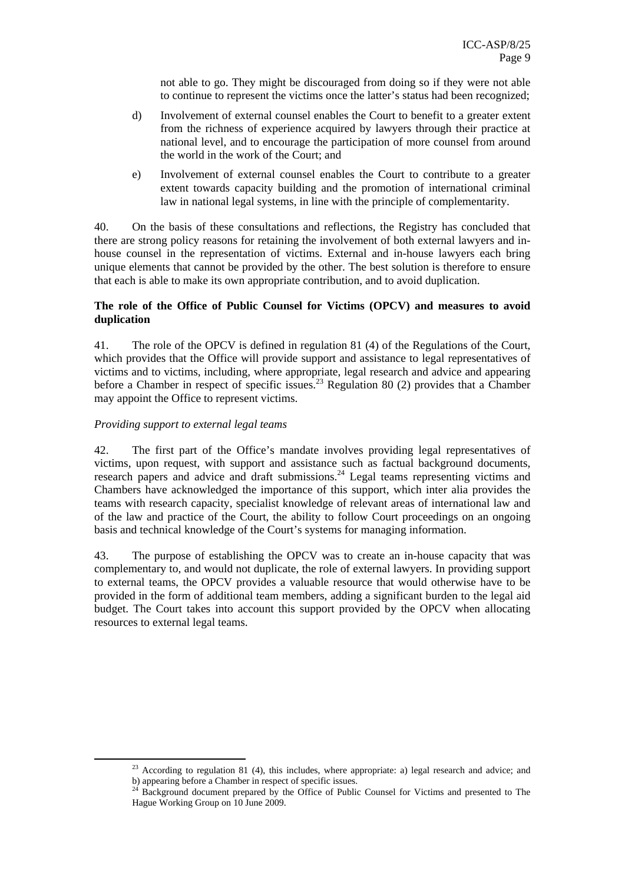not able to go. They might be discouraged from doing so if they were not able to continue to represent the victims once the latter's status had been recognized;

- d) Involvement of external counsel enables the Court to benefit to a greater extent from the richness of experience acquired by lawyers through their practice at national level, and to encourage the participation of more counsel from around the world in the work of the Court; and
- e) Involvement of external counsel enables the Court to contribute to a greater extent towards capacity building and the promotion of international criminal law in national legal systems, in line with the principle of complementarity.

40. On the basis of these consultations and reflections, the Registry has concluded that there are strong policy reasons for retaining the involvement of both external lawyers and inhouse counsel in the representation of victims. External and in-house lawyers each bring unique elements that cannot be provided by the other. The best solution is therefore to ensure that each is able to make its own appropriate contribution, and to avoid duplication.

### **The role of the Office of Public Counsel for Victims (OPCV) and measures to avoid duplication**

41. The role of the OPCV is defined in regulation 81 (4) of the Regulations of the Court, which provides that the Office will provide support and assistance to legal representatives of victims and to victims, including, where appropriate, legal research and advice and appearing before a Chamber in respect of specific issues.<sup>23</sup> Regulation 80 (2) provides that a Chamber may appoint the Office to represent victims.

### *Providing support to external legal teams*

42. The first part of the Office's mandate involves providing legal representatives of victims, upon request, with support and assistance such as factual background documents, research papers and advice and draft submissions.<sup>24</sup> Legal teams representing victims and Chambers have acknowledged the importance of this support, which inter alia provides the teams with research capacity, specialist knowledge of relevant areas of international law and of the law and practice of the Court, the ability to follow Court proceedings on an ongoing basis and technical knowledge of the Court's systems for managing information.

43. The purpose of establishing the OPCV was to create an in-house capacity that was complementary to, and would not duplicate, the role of external lawyers. In providing support to external teams, the OPCV provides a valuable resource that would otherwise have to be provided in the form of additional team members, adding a significant burden to the legal aid budget. The Court takes into account this support provided by the OPCV when allocating resources to external legal teams.

<sup>&</sup>lt;sup>23</sup> According to regulation 81 (4), this includes, where appropriate: a) legal research and advice; and

b) appearing before a Chamber in respect of specific issues.<br><sup>24</sup> Background document prepared by the Office of Public Counsel for Victims and presented to The Hague Working Group on 10 June 2009.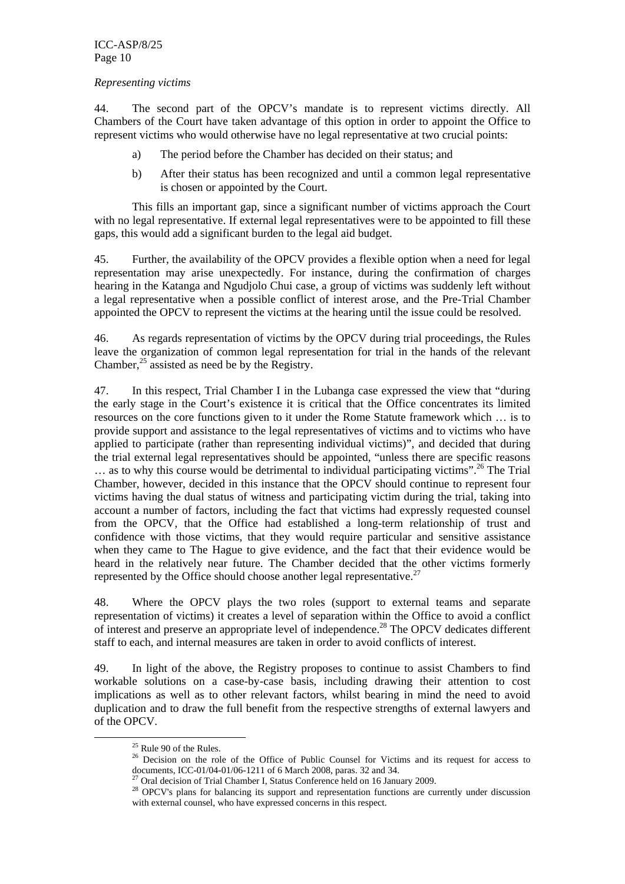#### *Representing victims*

44. The second part of the OPCV's mandate is to represent victims directly. All Chambers of the Court have taken advantage of this option in order to appoint the Office to represent victims who would otherwise have no legal representative at two crucial points:

- a) The period before the Chamber has decided on their status; and
- b) After their status has been recognized and until a common legal representative is chosen or appointed by the Court.

This fills an important gap, since a significant number of victims approach the Court with no legal representative. If external legal representatives were to be appointed to fill these gaps, this would add a significant burden to the legal aid budget.

45. Further, the availability of the OPCV provides a flexible option when a need for legal representation may arise unexpectedly. For instance, during the confirmation of charges hearing in the Katanga and Ngudjolo Chui case, a group of victims was suddenly left without a legal representative when a possible conflict of interest arose, and the Pre-Trial Chamber appointed the OPCV to represent the victims at the hearing until the issue could be resolved.

46. As regards representation of victims by the OPCV during trial proceedings, the Rules leave the organization of common legal representation for trial in the hands of the relevant Chamber,  $^{25}$  assisted as need be by the Registry.

47. In this respect, Trial Chamber I in the Lubanga case expressed the view that "during the early stage in the Court's existence it is critical that the Office concentrates its limited resources on the core functions given to it under the Rome Statute framework which … is to provide support and assistance to the legal representatives of victims and to victims who have applied to participate (rather than representing individual victims)", and decided that during the trial external legal representatives should be appointed, "unless there are specific reasons … as to why this course would be detrimental to individual participating victims".26 The Trial Chamber, however, decided in this instance that the OPCV should continue to represent four victims having the dual status of witness and participating victim during the trial, taking into account a number of factors, including the fact that victims had expressly requested counsel from the OPCV, that the Office had established a long-term relationship of trust and confidence with those victims, that they would require particular and sensitive assistance when they came to The Hague to give evidence, and the fact that their evidence would be heard in the relatively near future. The Chamber decided that the other victims formerly represented by the Office should choose another legal representative.<sup>27</sup>

48. Where the OPCV plays the two roles (support to external teams and separate representation of victims) it creates a level of separation within the Office to avoid a conflict of interest and preserve an appropriate level of independence.28 The OPCV dedicates different staff to each, and internal measures are taken in order to avoid conflicts of interest.

49. In light of the above, the Registry proposes to continue to assist Chambers to find workable solutions on a case-by-case basis, including drawing their attention to cost implications as well as to other relevant factors, whilst bearing in mind the need to avoid duplication and to draw the full benefit from the respective strengths of external lawyers and of the OPCV.

 $25$  Rule 90 of the Rules.

<sup>&</sup>lt;sup>26</sup> Decision on the role of the Office of Public Counsel for Victims and its request for access to documents, ICC-01/04-01/06-1211 of 6 March 2008, paras. 32 and 34.

 $^{27}$  Oral decision of Trial Chamber I, Status Conference held on 16 January 2009.

<sup>&</sup>lt;sup>28</sup> OPCV's plans for balancing its support and representation functions are currently under discussion with external counsel, who have expressed concerns in this respect.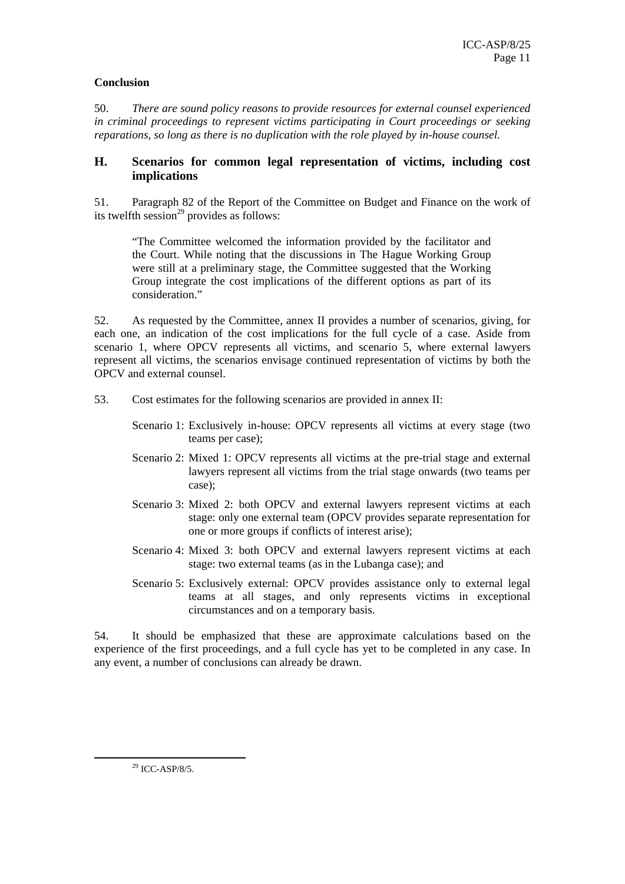### **Conclusion**

50. *There are sound policy reasons to provide resources for external counsel experienced in criminal proceedings to represent victims participating in Court proceedings or seeking reparations, so long as there is no duplication with the role played by in-house counsel.* 

### **H. Scenarios for common legal representation of victims, including cost implications**

51. Paragraph 82 of the Report of the Committee on Budget and Finance on the work of its twelfth session<sup>29</sup> provides as follows:

"The Committee welcomed the information provided by the facilitator and the Court. While noting that the discussions in The Hague Working Group were still at a preliminary stage, the Committee suggested that the Working Group integrate the cost implications of the different options as part of its consideration."

52. As requested by the Committee, annex II provides a number of scenarios, giving, for each one, an indication of the cost implications for the full cycle of a case. Aside from scenario 1, where OPCV represents all victims, and scenario 5, where external lawyers represent all victims, the scenarios envisage continued representation of victims by both the OPCV and external counsel.

53. Cost estimates for the following scenarios are provided in annex II:

Scenario 1: Exclusively in-house: OPCV represents all victims at every stage (two teams per case);

- Scenario 2: Mixed 1: OPCV represents all victims at the pre-trial stage and external lawyers represent all victims from the trial stage onwards (two teams per case);
- Scenario 3: Mixed 2: both OPCV and external lawyers represent victims at each stage: only one external team (OPCV provides separate representation for one or more groups if conflicts of interest arise);
- Scenario 4: Mixed 3: both OPCV and external lawyers represent victims at each stage: two external teams (as in the Lubanga case); and
- Scenario 5: Exclusively external: OPCV provides assistance only to external legal teams at all stages, and only represents victims in exceptional circumstances and on a temporary basis.

54. It should be emphasized that these are approximate calculations based on the experience of the first proceedings, and a full cycle has yet to be completed in any case. In any event, a number of conclusions can already be drawn.

 <sup>29</sup> ICC-ASP/8/5.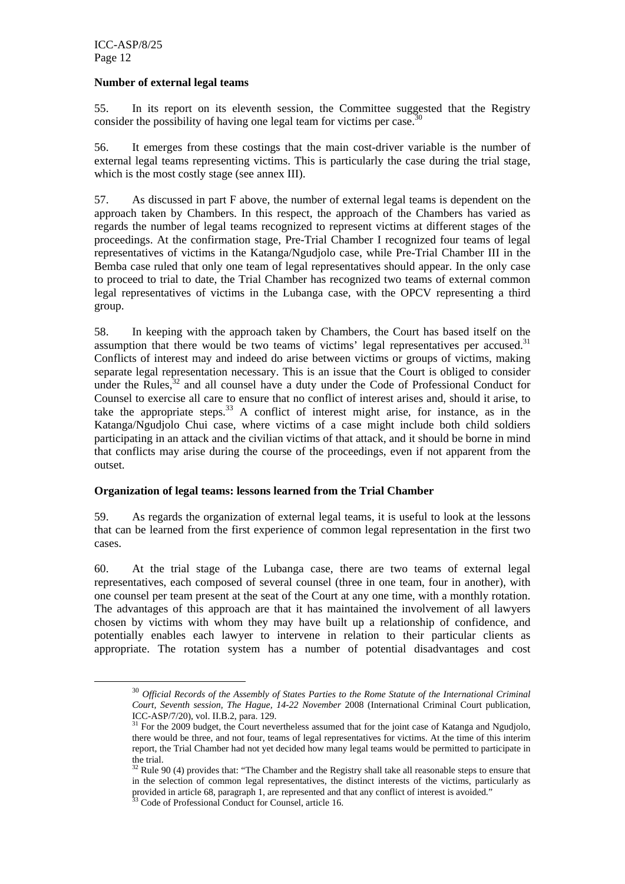#### **Number of external legal teams**

55. In its report on its eleventh session, the Committee suggested that the Registry consider the possibility of having one legal team for victims per case.<sup>30</sup>

56. It emerges from these costings that the main cost-driver variable is the number of external legal teams representing victims. This is particularly the case during the trial stage, which is the most costly stage (see annex III).

57. As discussed in part F above, the number of external legal teams is dependent on the approach taken by Chambers. In this respect, the approach of the Chambers has varied as regards the number of legal teams recognized to represent victims at different stages of the proceedings. At the confirmation stage, Pre-Trial Chamber I recognized four teams of legal representatives of victims in the Katanga/Ngudjolo case, while Pre-Trial Chamber III in the Bemba case ruled that only one team of legal representatives should appear. In the only case to proceed to trial to date, the Trial Chamber has recognized two teams of external common legal representatives of victims in the Lubanga case, with the OPCV representing a third group.

58. In keeping with the approach taken by Chambers, the Court has based itself on the assumption that there would be two teams of victims' legal representatives per accused.<sup>31</sup> Conflicts of interest may and indeed do arise between victims or groups of victims, making separate legal representation necessary. This is an issue that the Court is obliged to consider under the Rules,  $32$  and all counsel have a duty under the Code of Professional Conduct for Counsel to exercise all care to ensure that no conflict of interest arises and, should it arise, to take the appropriate steps. $33$  A conflict of interest might arise, for instance, as in the Katanga/Ngudjolo Chui case, where victims of a case might include both child soldiers participating in an attack and the civilian victims of that attack, and it should be borne in mind that conflicts may arise during the course of the proceedings, even if not apparent from the outset.

#### **Organization of legal teams: lessons learned from the Trial Chamber**

59. As regards the organization of external legal teams, it is useful to look at the lessons that can be learned from the first experience of common legal representation in the first two cases.

60. At the trial stage of the Lubanga case, there are two teams of external legal representatives, each composed of several counsel (three in one team, four in another), with one counsel per team present at the seat of the Court at any one time, with a monthly rotation. The advantages of this approach are that it has maintained the involvement of all lawyers chosen by victims with whom they may have built up a relationship of confidence, and potentially enables each lawyer to intervene in relation to their particular clients as appropriate. The rotation system has a number of potential disadvantages and cost

 <sup>30</sup> *Official Records of the Assembly of States Parties to the Rome Statute of the International Criminal Court, Seventh session, The Hague, 14-22 November* 2008 (International Criminal Court publication, ICC-ASP/7/20), vol. II.B.2, para. 129.

<sup>&</sup>lt;sup>31</sup> For the 2009 budget, the Court nevertheless assumed that for the joint case of Katanga and Ngudjolo, there would be three, and not four, teams of legal representatives for victims. At the time of this interim report, the Trial Chamber had not yet decided how many legal teams would be permitted to participate in the trial.

<sup>&</sup>lt;sup>32</sup> Rule 90 (4) provides that: "The Chamber and the Registry shall take all reasonable steps to ensure that in the selection of common legal representatives, the distinct interests of the victims, particularly as provided in article 68, paragraph 1, are represented and that any conflict of interest is avoided."<br><sup>33</sup> Code of Professional Conduct for Counsel, article 16.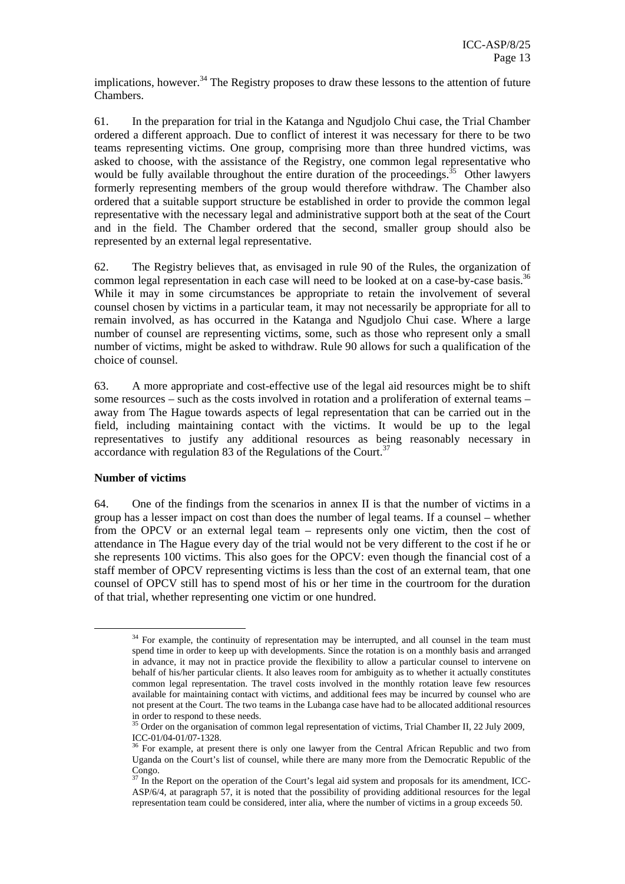implications, however.<sup>34</sup> The Registry proposes to draw these lessons to the attention of future Chambers.

61. In the preparation for trial in the Katanga and Ngudjolo Chui case, the Trial Chamber ordered a different approach. Due to conflict of interest it was necessary for there to be two teams representing victims. One group, comprising more than three hundred victims, was asked to choose, with the assistance of the Registry, one common legal representative who would be fully available throughout the entire duration of the proceedings.<sup>35</sup> Other lawyers formerly representing members of the group would therefore withdraw. The Chamber also ordered that a suitable support structure be established in order to provide the common legal representative with the necessary legal and administrative support both at the seat of the Court and in the field. The Chamber ordered that the second, smaller group should also be represented by an external legal representative.

62. The Registry believes that, as envisaged in rule 90 of the Rules, the organization of common legal representation in each case will need to be looked at on a case-by-case basis.<sup>36</sup> While it may in some circumstances be appropriate to retain the involvement of several counsel chosen by victims in a particular team, it may not necessarily be appropriate for all to remain involved, as has occurred in the Katanga and Ngudjolo Chui case. Where a large number of counsel are representing victims, some, such as those who represent only a small number of victims, might be asked to withdraw. Rule 90 allows for such a qualification of the choice of counsel.

63. A more appropriate and cost-effective use of the legal aid resources might be to shift some resources – such as the costs involved in rotation and a proliferation of external teams – away from The Hague towards aspects of legal representation that can be carried out in the field, including maintaining contact with the victims. It would be up to the legal representatives to justify any additional resources as being reasonably necessary in accordance with regulation 83 of the Regulations of the Court.<sup>37</sup>

#### **Number of victims**

64. One of the findings from the scenarios in annex II is that the number of victims in a group has a lesser impact on cost than does the number of legal teams. If a counsel – whether from the OPCV or an external legal team – represents only one victim, then the cost of attendance in The Hague every day of the trial would not be very different to the cost if he or she represents 100 victims. This also goes for the OPCV: even though the financial cost of a staff member of OPCV representing victims is less than the cost of an external team, that one counsel of OPCV still has to spend most of his or her time in the courtroom for the duration of that trial, whether representing one victim or one hundred.

 $34$  For example, the continuity of representation may be interrupted, and all counsel in the team must spend time in order to keep up with developments. Since the rotation is on a monthly basis and arranged in advance, it may not in practice provide the flexibility to allow a particular counsel to intervene on behalf of his/her particular clients. It also leaves room for ambiguity as to whether it actually constitutes common legal representation. The travel costs involved in the monthly rotation leave few resources available for maintaining contact with victims, and additional fees may be incurred by counsel who are not present at the Court. The two teams in the Lubanga case have had to be allocated additional resources in order to respond to these needs.

<sup>&</sup>lt;sup>35</sup> Order on the organisation of common legal representation of victims, Trial Chamber II, 22 July 2009, ICC-01/04-01/07-1328.

<sup>&</sup>lt;sup>36</sup> For example, at present there is only one lawyer from the Central African Republic and two from Uganda on the Court's list of counsel, while there are many more from the Democratic Republic of the Congo.

 $\frac{37}{37}$  In the Report on the operation of the Court's legal aid system and proposals for its amendment, ICC-ASP/6/4, at paragraph 57, it is noted that the possibility of providing additional resources for the legal representation team could be considered, inter alia, where the number of victims in a group exceeds 50.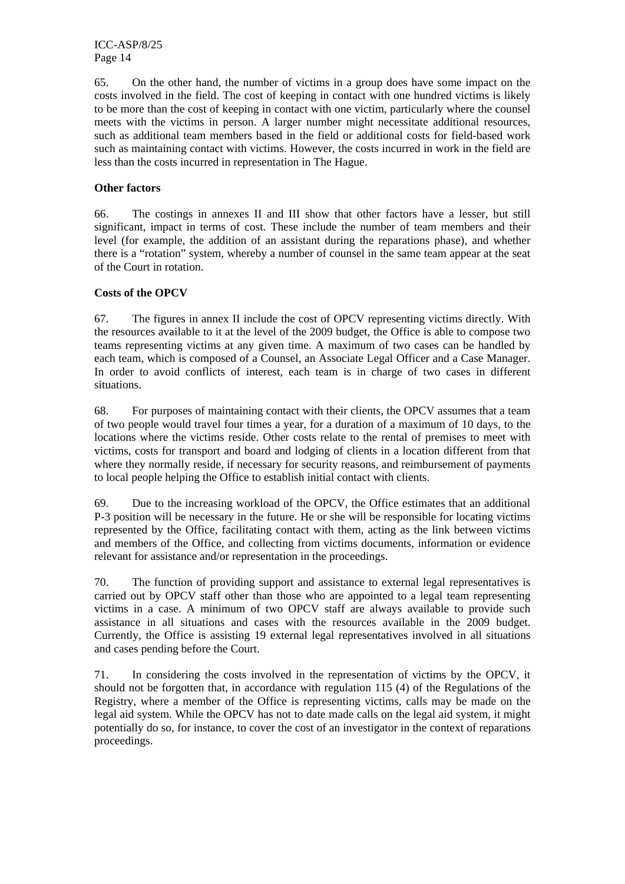65. On the other hand, the number of victims in a group does have some impact on the costs involved in the field. The cost of keeping in contact with one hundred victims is likely to be more than the cost of keeping in contact with one victim, particularly where the counsel meets with the victims in person. A larger number might necessitate additional resources, such as additional team members based in the field or additional costs for field-based work such as maintaining contact with victims. However, the costs incurred in work in the field are less than the costs incurred in representation in The Hague.

#### **Other factors**

66. The costings in annexes II and III show that other factors have a lesser, but still significant, impact in terms of cost. These include the number of team members and their level (for example, the addition of an assistant during the reparations phase), and whether there is a "rotation" system, whereby a number of counsel in the same team appear at the seat of the Court in rotation.

#### **Costs of the OPCV**

67. The figures in annex II include the cost of OPCV representing victims directly. With the resources available to it at the level of the 2009 budget, the Office is able to compose two teams representing victims at any given time. A maximum of two cases can be handled by each team, which is composed of a Counsel, an Associate Legal Officer and a Case Manager. In order to avoid conflicts of interest, each team is in charge of two cases in different situations.

68. For purposes of maintaining contact with their clients, the OPCV assumes that a team of two people would travel four times a year, for a duration of a maximum of 10 days, to the locations where the victims reside. Other costs relate to the rental of premises to meet with victims, costs for transport and board and lodging of clients in a location different from that where they normally reside, if necessary for security reasons, and reimbursement of payments to local people helping the Office to establish initial contact with clients.

69. Due to the increasing workload of the OPCV, the Office estimates that an additional P-3 position will be necessary in the future. He or she will be responsible for locating victims represented by the Office, facilitating contact with them, acting as the link between victims and members of the Office, and collecting from victims documents, information or evidence relevant for assistance and/or representation in the proceedings.

70. The function of providing support and assistance to external legal representatives is carried out by OPCV staff other than those who are appointed to a legal team representing victims in a case. A minimum of two OPCV staff are always available to provide such assistance in all situations and cases with the resources available in the 2009 budget. Currently, the Office is assisting 19 external legal representatives involved in all situations and cases pending before the Court.

71. In considering the costs involved in the representation of victims by the OPCV, it should not be forgotten that, in accordance with regulation 115 (4) of the Regulations of the Registry, where a member of the Office is representing victims, calls may be made on the legal aid system. While the OPCV has not to date made calls on the legal aid system, it might potentially do so, for instance, to cover the cost of an investigator in the context of reparations proceedings.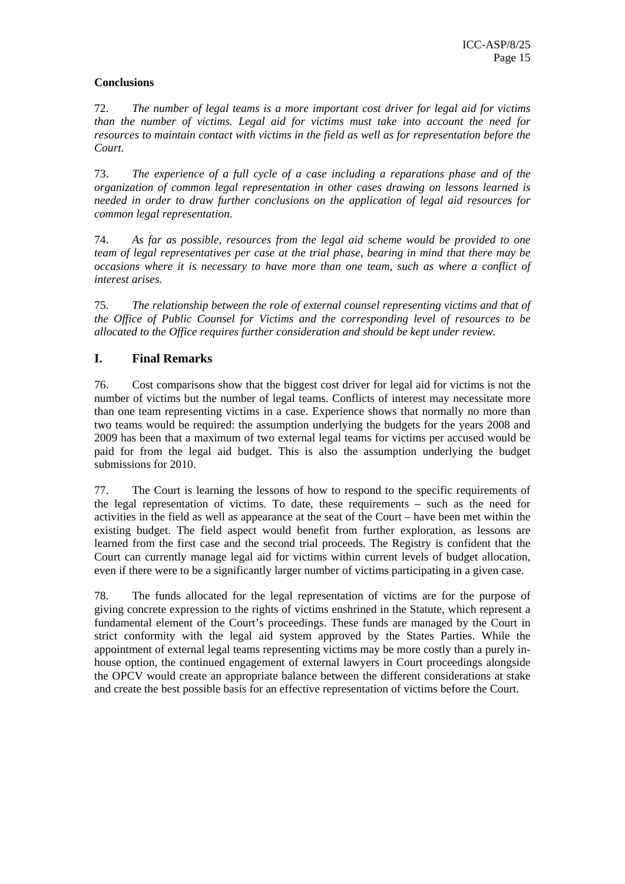### **Conclusions**

72. *The number of legal teams is a more important cost driver for legal aid for victims than the number of victims. Legal aid for victims must take into account the need for resources to maintain contact with victims in the field as well as for representation before the Court.* 

73. *The experience of a full cycle of a case including a reparations phase and of the organization of common legal representation in other cases drawing on lessons learned is needed in order to draw further conclusions on the application of legal aid resources for common legal representation.* 

74. *As far as possible, resources from the legal aid scheme would be provided to one team of legal representatives per case at the trial phase, bearing in mind that there may be occasions where it is necessary to have more than one team, such as where a conflict of interest arises.* 

75. *The relationship between the role of external counsel representing victims and that of the Office of Public Counsel for Victims and the corresponding level of resources to be allocated to the Office requires further consideration and should be kept under review.* 

### **I. Final Remarks**

76. Cost comparisons show that the biggest cost driver for legal aid for victims is not the number of victims but the number of legal teams. Conflicts of interest may necessitate more than one team representing victims in a case. Experience shows that normally no more than two teams would be required: the assumption underlying the budgets for the years 2008 and 2009 has been that a maximum of two external legal teams for victims per accused would be paid for from the legal aid budget. This is also the assumption underlying the budget submissions for 2010.

77. The Court is learning the lessons of how to respond to the specific requirements of the legal representation of victims. To date, these requirements – such as the need for activities in the field as well as appearance at the seat of the Court – have been met within the existing budget. The field aspect would benefit from further exploration, as lessons are learned from the first case and the second trial proceeds. The Registry is confident that the Court can currently manage legal aid for victims within current levels of budget allocation, even if there were to be a significantly larger number of victims participating in a given case.

78. The funds allocated for the legal representation of victims are for the purpose of giving concrete expression to the rights of victims enshrined in the Statute, which represent a fundamental element of the Court's proceedings. These funds are managed by the Court in strict conformity with the legal aid system approved by the States Parties. While the appointment of external legal teams representing victims may be more costly than a purely inhouse option, the continued engagement of external lawyers in Court proceedings alongside the OPCV would create an appropriate balance between the different considerations at stake and create the best possible basis for an effective representation of victims before the Court.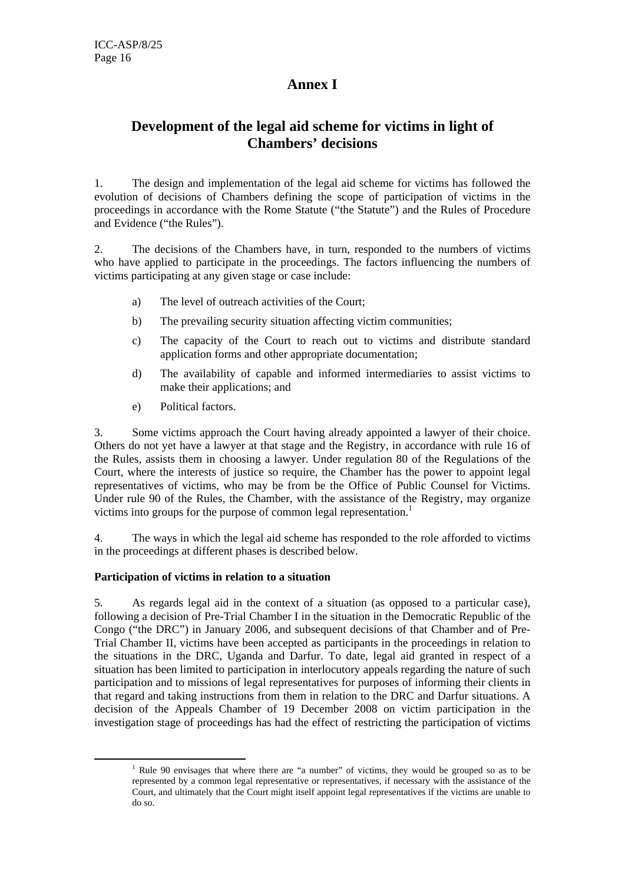# **Annex I**

# **Development of the legal aid scheme for victims in light of Chambers' decisions**

1. The design and implementation of the legal aid scheme for victims has followed the evolution of decisions of Chambers defining the scope of participation of victims in the proceedings in accordance with the Rome Statute ("the Statute") and the Rules of Procedure and Evidence ("the Rules").

2. The decisions of the Chambers have, in turn, responded to the numbers of victims who have applied to participate in the proceedings. The factors influencing the numbers of victims participating at any given stage or case include:

- a) The level of outreach activities of the Court;
- b) The prevailing security situation affecting victim communities;
- c) The capacity of the Court to reach out to victims and distribute standard application forms and other appropriate documentation;
- d) The availability of capable and informed intermediaries to assist victims to make their applications; and
- e) Political factors.

3. Some victims approach the Court having already appointed a lawyer of their choice. Others do not yet have a lawyer at that stage and the Registry, in accordance with rule 16 of the Rules, assists them in choosing a lawyer. Under regulation 80 of the Regulations of the Court, where the interests of justice so require, the Chamber has the power to appoint legal representatives of victims, who may be from be the Office of Public Counsel for Victims. Under rule 90 of the Rules, the Chamber, with the assistance of the Registry, may organize victims into groups for the purpose of common legal representation.<sup>1</sup>

4. The ways in which the legal aid scheme has responded to the role afforded to victims in the proceedings at different phases is described below.

#### **Participation of victims in relation to a situation**

5. As regards legal aid in the context of a situation (as opposed to a particular case), following a decision of Pre-Trial Chamber I in the situation in the Democratic Republic of the Congo ("the DRC") in January 2006, and subsequent decisions of that Chamber and of Pre-Trial Chamber II, victims have been accepted as participants in the proceedings in relation to the situations in the DRC, Uganda and Darfur. To date, legal aid granted in respect of a situation has been limited to participation in interlocutory appeals regarding the nature of such participation and to missions of legal representatives for purposes of informing their clients in that regard and taking instructions from them in relation to the DRC and Darfur situations. A decision of the Appeals Chamber of 19 December 2008 on victim participation in the investigation stage of proceedings has had the effect of restricting the participation of victims

 $\frac{1}{1}$  $1$  Rule 90 envisages that where there are "a number" of victims, they would be grouped so as to be represented by a common legal representative or representatives, if necessary with the assistance of the Court, and ultimately that the Court might itself appoint legal representatives if the victims are unable to do so.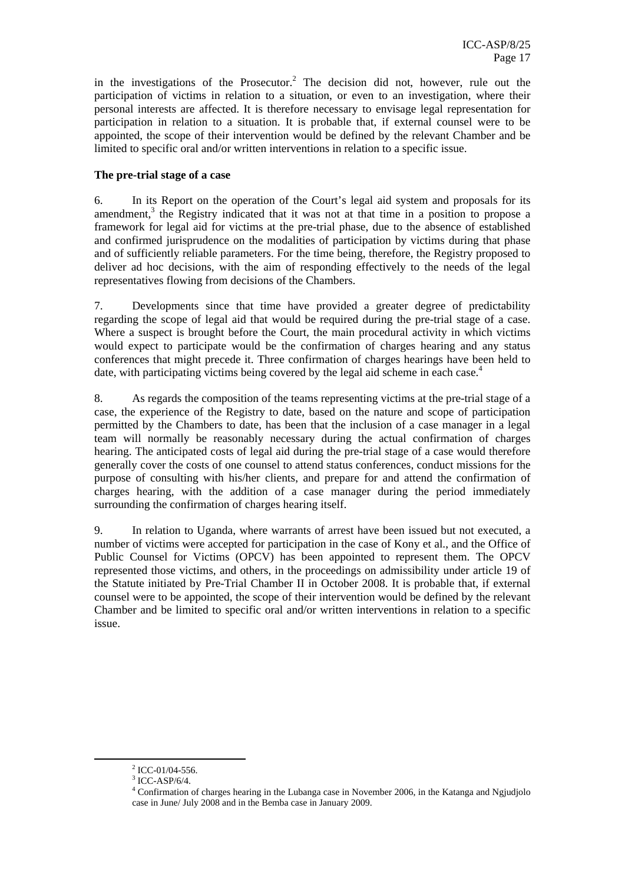in the investigations of the Prosecutor.<sup>2</sup> The decision did not, however, rule out the participation of victims in relation to a situation, or even to an investigation, where their personal interests are affected. It is therefore necessary to envisage legal representation for participation in relation to a situation. It is probable that, if external counsel were to be appointed, the scope of their intervention would be defined by the relevant Chamber and be limited to specific oral and/or written interventions in relation to a specific issue.

### **The pre-trial stage of a case**

6. In its Report on the operation of the Court's legal aid system and proposals for its amendment,<sup>3</sup> the Registry indicated that it was not at that time in a position to propose a framework for legal aid for victims at the pre-trial phase, due to the absence of established and confirmed jurisprudence on the modalities of participation by victims during that phase and of sufficiently reliable parameters. For the time being, therefore, the Registry proposed to deliver ad hoc decisions, with the aim of responding effectively to the needs of the legal representatives flowing from decisions of the Chambers.

7. Developments since that time have provided a greater degree of predictability regarding the scope of legal aid that would be required during the pre-trial stage of a case. Where a suspect is brought before the Court, the main procedural activity in which victims would expect to participate would be the confirmation of charges hearing and any status conferences that might precede it. Three confirmation of charges hearings have been held to date, with participating victims being covered by the legal aid scheme in each case.<sup>4</sup>

8. As regards the composition of the teams representing victims at the pre-trial stage of a case, the experience of the Registry to date, based on the nature and scope of participation permitted by the Chambers to date, has been that the inclusion of a case manager in a legal team will normally be reasonably necessary during the actual confirmation of charges hearing. The anticipated costs of legal aid during the pre-trial stage of a case would therefore generally cover the costs of one counsel to attend status conferences, conduct missions for the purpose of consulting with his/her clients, and prepare for and attend the confirmation of charges hearing, with the addition of a case manager during the period immediately surrounding the confirmation of charges hearing itself.

9. In relation to Uganda, where warrants of arrest have been issued but not executed, a number of victims were accepted for participation in the case of Kony et al., and the Office of Public Counsel for Victims (OPCV) has been appointed to represent them. The OPCV represented those victims, and others, in the proceedings on admissibility under article 19 of the Statute initiated by Pre-Trial Chamber II in October 2008. It is probable that, if external counsel were to be appointed, the scope of their intervention would be defined by the relevant Chamber and be limited to specific oral and/or written interventions in relation to a specific issue.

 $\frac{1}{2}$  $2$  ICC-01/04-556.

 $3$  ICC-ASP/6/4.

<sup>&</sup>lt;sup>4</sup> Confirmation of charges hearing in the Lubanga case in November 2006, in the Katanga and Ngjudjolo case in June/ July 2008 and in the Bemba case in January 2009.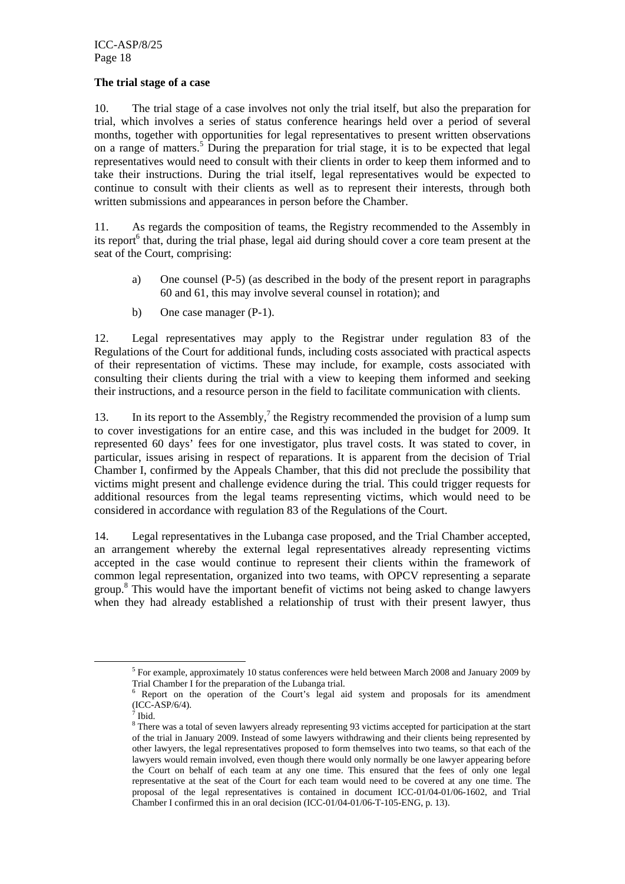#### **The trial stage of a case**

10. The trial stage of a case involves not only the trial itself, but also the preparation for trial, which involves a series of status conference hearings held over a period of several months, together with opportunities for legal representatives to present written observations on a range of matters.<sup>5</sup> During the preparation for trial stage, it is to be expected that legal representatives would need to consult with their clients in order to keep them informed and to take their instructions. During the trial itself, legal representatives would be expected to continue to consult with their clients as well as to represent their interests, through both written submissions and appearances in person before the Chamber.

11. As regards the composition of teams, the Registry recommended to the Assembly in its report<sup>6</sup> that, during the trial phase, legal aid during should cover a core team present at the seat of the Court, comprising:

- a) One counsel (P-5) (as described in the body of the present report in paragraphs 60 and 61, this may involve several counsel in rotation); and
- b) One case manager (P-1).

12. Legal representatives may apply to the Registrar under regulation 83 of the Regulations of the Court for additional funds, including costs associated with practical aspects of their representation of victims. These may include, for example, costs associated with consulting their clients during the trial with a view to keeping them informed and seeking their instructions, and a resource person in the field to facilitate communication with clients.

13. In its report to the Assembly,<sup>7</sup> the Registry recommended the provision of a lump sum to cover investigations for an entire case, and this was included in the budget for 2009. It represented 60 days' fees for one investigator, plus travel costs. It was stated to cover, in particular, issues arising in respect of reparations. It is apparent from the decision of Trial Chamber I, confirmed by the Appeals Chamber, that this did not preclude the possibility that victims might present and challenge evidence during the trial. This could trigger requests for additional resources from the legal teams representing victims, which would need to be considered in accordance with regulation 83 of the Regulations of the Court.

14. Legal representatives in the Lubanga case proposed, and the Trial Chamber accepted, an arrangement whereby the external legal representatives already representing victims accepted in the case would continue to represent their clients within the framework of common legal representation, organized into two teams, with OPCV representing a separate group.8 This would have the important benefit of victims not being asked to change lawyers when they had already established a relationship of trust with their present lawyer, thus

 $rac{1}{5}$ <sup>5</sup> For example, approximately 10 status conferences were held between March 2008 and January 2009 by Trial Chamber I for the preparation of the Lubanga trial.

<sup>6</sup> Report on the operation of the Court's legal aid system and proposals for its amendment (ICC-ASP/6/4).

 $\overline{7}$  Ibid.

<sup>&</sup>lt;sup>8</sup> There was a total of seven lawyers already representing 93 victims accepted for participation at the start of the trial in January 2009. Instead of some lawyers withdrawing and their clients being represented by other lawyers, the legal representatives proposed to form themselves into two teams, so that each of the lawyers would remain involved, even though there would only normally be one lawyer appearing before the Court on behalf of each team at any one time. This ensured that the fees of only one legal representative at the seat of the Court for each team would need to be covered at any one time. The proposal of the legal representatives is contained in document ICC-01/04-01/06-1602, and Trial Chamber I confirmed this in an oral decision (ICC-01/04-01/06-T-105-ENG, p. 13).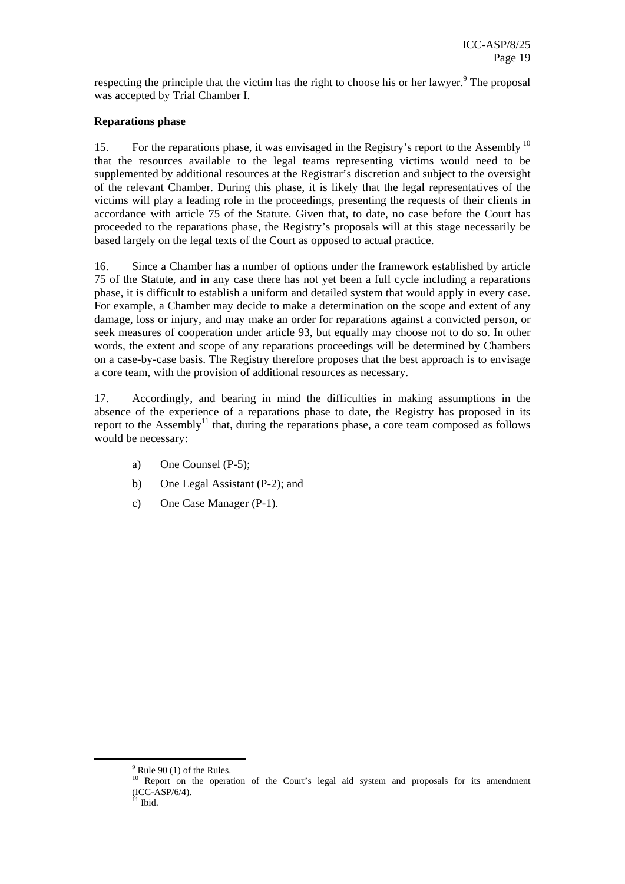respecting the principle that the victim has the right to choose his or her lawyer. $9$  The proposal was accepted by Trial Chamber I.

### **Reparations phase**

15. For the reparations phase, it was envisaged in the Registry's report to the Assembly<sup>10</sup> that the resources available to the legal teams representing victims would need to be supplemented by additional resources at the Registrar's discretion and subject to the oversight of the relevant Chamber. During this phase, it is likely that the legal representatives of the victims will play a leading role in the proceedings, presenting the requests of their clients in accordance with article 75 of the Statute. Given that, to date, no case before the Court has proceeded to the reparations phase, the Registry's proposals will at this stage necessarily be based largely on the legal texts of the Court as opposed to actual practice.

16. Since a Chamber has a number of options under the framework established by article 75 of the Statute, and in any case there has not yet been a full cycle including a reparations phase, it is difficult to establish a uniform and detailed system that would apply in every case. For example, a Chamber may decide to make a determination on the scope and extent of any damage, loss or injury, and may make an order for reparations against a convicted person, or seek measures of cooperation under article 93, but equally may choose not to do so. In other words, the extent and scope of any reparations proceedings will be determined by Chambers on a case-by-case basis. The Registry therefore proposes that the best approach is to envisage a core team, with the provision of additional resources as necessary.

17. Accordingly, and bearing in mind the difficulties in making assumptions in the absence of the experience of a reparations phase to date, the Registry has proposed in its report to the Assembly<sup>11</sup> that, during the reparations phase, a core team composed as follows would be necessary:

- a) One Counsel (P-5);
- b) One Legal Assistant (P-2); and
- c) One Case Manager (P-1).

 <sup>9</sup>  $9$  Rule 90 (1) of the Rules.

<sup>&</sup>lt;sup>10</sup> Report on the operation of the Court's legal aid system and proposals for its amendment (ICC-ASP/6/4).

 $11$  Ibid.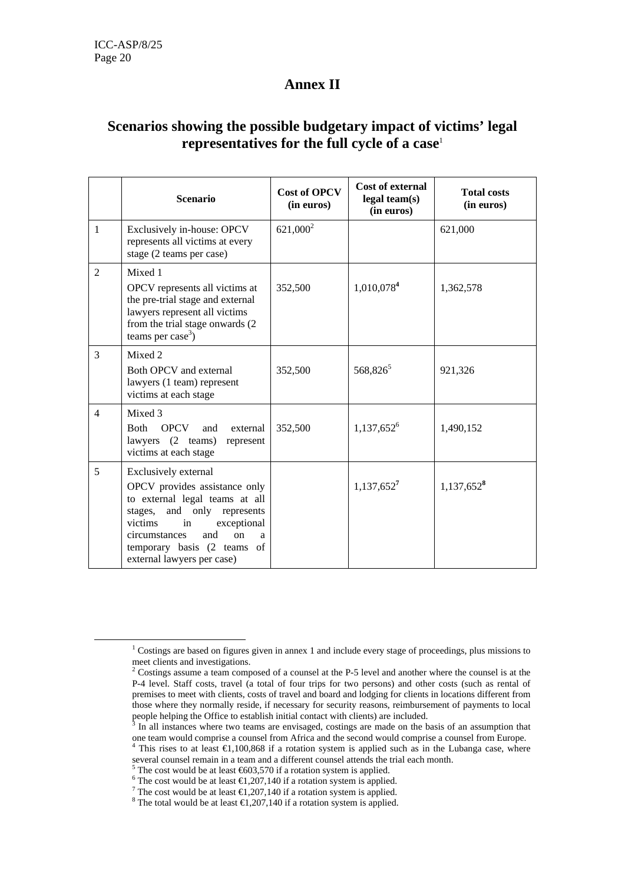# **Annex II**

# **Scenarios showing the possible budgetary impact of victims' legal representatives for the full cycle of a case**<sup>1</sup>

|                | <b>Scenario</b>                                                                                                                                                                                                                                                   | <b>Cost of OPCV</b><br>(in euros) | Cost of external<br>legal team(s)<br>(in euros) | <b>Total costs</b><br>(in euros) |
|----------------|-------------------------------------------------------------------------------------------------------------------------------------------------------------------------------------------------------------------------------------------------------------------|-----------------------------------|-------------------------------------------------|----------------------------------|
| $\mathbf{1}$   | Exclusively in-house: OPCV<br>represents all victims at every<br>stage (2 teams per case)                                                                                                                                                                         | $621,000^2$                       |                                                 | 621,000                          |
| $\mathfrak{D}$ | Mixed 1<br>OPCV represents all victims at<br>the pre-trial stage and external<br>lawyers represent all victims<br>from the trial stage onwards (2)<br>teams per case <sup>3</sup> )                                                                               | 352,500                           | 1,010,078 <sup>4</sup>                          | 1,362,578                        |
| 3              | Mixed 2<br>Both OPCV and external<br>lawyers (1 team) represent<br>victims at each stage                                                                                                                                                                          | 352,500                           | 568,826 <sup>5</sup>                            | 921,326                          |
| $\overline{4}$ | Mixed 3<br><b>Both</b><br><b>OPCV</b><br>external<br>and<br>lawyers<br>$(2 \text{ teams})$<br>represent<br>victims at each stage                                                                                                                                  | 352,500                           | $1,137,652^6$                                   | 1,490,152                        |
| 5              | Exclusively external<br>OPCV provides assistance only<br>to external legal teams at all<br>stages, and only represents<br>exceptional<br>victims<br>in<br>circumstances<br>and<br><sub>on</sub><br>a<br>temporary basis (2 teams of<br>external lawyers per case) |                                   | $1,137,652^7$                                   | 1,137,652 <sup>8</sup>           |

 $\frac{1}{1}$ <sup>1</sup> Costings are based on figures given in annex 1 and include every stage of proceedings, plus missions to meet clients and investigations.

<sup>&</sup>lt;sup>2</sup> Costings assume a team composed of a counsel at the P-5 level and another where the counsel is at the P-4 level. Staff costs, travel (a total of four trips for two persons) and other costs (such as rental of premises to meet with clients, costs of travel and board and lodging for clients in locations different from those where they normally reside, if necessary for security reasons, reimbursement of payments to local people helping the Office to establish initial contact with clients) are included.

In all instances where two teams are envisaged, costings are made on the basis of an assumption that one team would comprise a counsel from Africa and the second would comprise a counsel from Europe.<br><sup>4</sup> This rises to at least  $\in$  1,100,868 if a rotation system is applied such as in the Lubanga case, where

several counsel remain in a team and a different counsel attends the trial each month.<br> $\frac{5}{2}$  The gost would be at least  $\frac{1602}{270}$  if a retation system is applied.

The cost would be at least  $\bigoplus_{n=0}^{\infty}$  The cost would be at least  $\bigoplus_{n=0}^{\infty}$  7.140 if a rotation system is applied.

The cost would be at least  $\bigoplus$ , 207, 140 if a rotation system is applied.

<sup>&</sup>lt;sup>7</sup> The cost would be at least  $\bigoplus$ , 207, 140 if a rotation system is applied.

<sup>&</sup>lt;sup>8</sup> The total would be at least  $\bigoplus$ , 207, 140 if a rotation system is applied.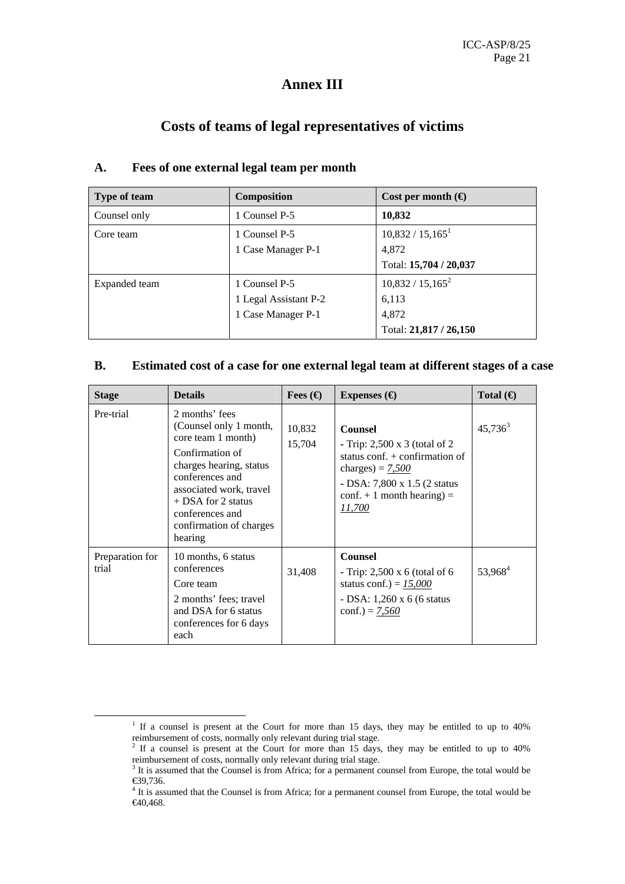# **Annex III**

# **Costs of teams of legal representatives of victims**

| Type of team  | <b>Composition</b>    | Cost per month $\Theta$ |
|---------------|-----------------------|-------------------------|
| Counsel only  | 1 Counsel P-5         | 10,832                  |
| Core team     | 1 Counsel P-5         | $10,832 / 15,165^1$     |
|               | 1 Case Manager P-1    | 4.872                   |
|               |                       | Total: 15,704 / 20,037  |
| Expanded team | 1 Counsel P-5         | $10,832 / 15,165^2$     |
|               | 1 Legal Assistant P-2 | 6,113                   |
|               | 1 Case Manager P-1    | 4.872                   |
|               |                       | Total: 21,817 / 26,150  |

### **A. Fees of one external legal team per month**

### **B. Estimated cost of a case for one external legal team at different stages of a case**

| <b>Stage</b>             | <b>Details</b>                                                                                                                                                                                                                              | Fees $\left(\bigoplus\right)$ | Expenses $\Theta$                                                                                                                                                                                         | Total $\Theta$      |
|--------------------------|---------------------------------------------------------------------------------------------------------------------------------------------------------------------------------------------------------------------------------------------|-------------------------------|-----------------------------------------------------------------------------------------------------------------------------------------------------------------------------------------------------------|---------------------|
| Pre-trial                | 2 months' fees<br>(Counsel only 1 month,<br>core team 1 month)<br>Confirmation of<br>charges hearing, status<br>conferences and<br>associated work, travel<br>$+$ DSA for 2 status<br>conferences and<br>confirmation of charges<br>hearing | 10,832<br>15,704              | <b>Counsel</b><br>- Trip: $2,500 \times 3$ (total of 2)<br>status conf. $+$ confirmation of<br>charges) = $7,500$<br>- DSA: 7,800 x 1.5 (2 status<br>$\text{conf.} + 1$ month hearing) =<br><i>11,700</i> | $45,736^3$          |
| Preparation for<br>trial | 10 months, 6 status<br>conferences<br>Core team<br>2 months' fees; travel<br>and DSA for 6 status<br>conferences for 6 days<br>each                                                                                                         | 31,408                        | <b>Counsel</b><br>- Trip: $2,500 \times 6$ (total of 6)<br>status conf.) = $15,000$<br>- DSA: 1,260 x 6 (6 status)<br>conf.) = $7,560$                                                                    | 53,968 <sup>4</sup> |

 $\frac{1}{1}$ <sup>1</sup> If a counsel is present at the Court for more than 15 days, they may be entitled to up to 40% reimbursement of costs, normally only relevant during trial stage.<br><sup>2</sup> If a counsel is present at the Court for more than 15 days, they may be entitled to up to 40%

reimbursement of costs, normally only relevant during trial stage.<br><sup>3</sup> It is assumed that the Counsel is from Africa; for a permanent counsel from Europe, the total would be

<sup>€39,736.</sup> 

<sup>&</sup>lt;sup>4</sup> It is assumed that the Counsel is from Africa; for a permanent counsel from Europe, the total would be €40,468.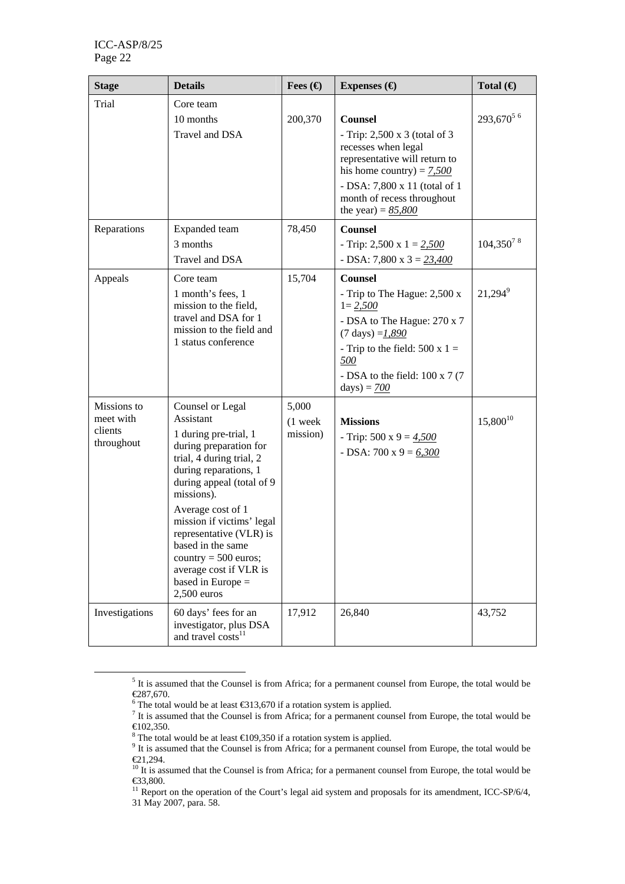| <b>Stage</b>                                      | <b>Details</b>                                                                                                                                                                                                                                                                                                                                                                 | Fees $\bigoplus$               | Expenses $\left(\bigoplus\right)$                                                                                                                                                                                                            | Total $\Theta$        |
|---------------------------------------------------|--------------------------------------------------------------------------------------------------------------------------------------------------------------------------------------------------------------------------------------------------------------------------------------------------------------------------------------------------------------------------------|--------------------------------|----------------------------------------------------------------------------------------------------------------------------------------------------------------------------------------------------------------------------------------------|-----------------------|
| Trial                                             | Core team<br>10 months<br>Travel and DSA                                                                                                                                                                                                                                                                                                                                       | 200,370                        | <b>Counsel</b><br>- Trip: $2,500 \times 3$ (total of 3)<br>recesses when legal<br>representative will return to<br>his home country) = $7,500$<br>- DSA: 7,800 x 11 (total of 1<br>month of recess throughout<br>the year) = $85,800$        | 293,670 <sup>56</sup> |
| Reparations                                       | Expanded team<br>3 months<br>Travel and DSA                                                                                                                                                                                                                                                                                                                                    | 78,450                         | <b>Counsel</b><br>- Trip: 2,500 x $1 = 2,500$<br>$-$ DSA: 7,800 x 3 = $23,400$                                                                                                                                                               | $104,350^{7}$ 8       |
| Appeals                                           | Core team<br>1 month's fees, 1<br>mission to the field,<br>travel and DSA for 1<br>mission to the field and<br>1 status conference                                                                                                                                                                                                                                             | 15,704                         | <b>Counsel</b><br>- Trip to The Hague: 2,500 x<br>$1 = 2,500$<br>- DSA to The Hague: 270 x 7<br>$(7 \text{ days}) = 1,890$<br>- Trip to the field: $500 \times 1 =$<br><u>500</u><br>- DSA to the field: $100 \times 7$ (7)<br>$days) = 700$ | $21,294^9$            |
| Missions to<br>meet with<br>clients<br>throughout | Counsel or Legal<br>Assistant<br>1 during pre-trial, 1<br>during preparation for<br>trial, 4 during trial, 2<br>during reparations, 1<br>during appeal (total of 9<br>missions).<br>Average cost of 1<br>mission if victims' legal<br>representative (VLR) is<br>based in the same<br>country $= 500$ euros;<br>average cost if VLR is<br>based in Europe $=$<br>$2,500$ euros | 5,000<br>$(1$ week<br>mission) | <b>Missions</b><br>- Trip: 500 x 9 = $4,500$<br>- DSA: 700 x 9 = $6,300$                                                                                                                                                                     | $15,\!800^{10}$       |
| Investigations                                    | 60 days' fees for an<br>investigator, plus DSA<br>and travel costs <sup>11</sup>                                                                                                                                                                                                                                                                                               | 17,912                         | 26,840                                                                                                                                                                                                                                       | 43,752                |

 $\frac{1}{5}$  $<sup>5</sup>$  It is assumed that the Counsel is from Africa; for a permanent counsel from Europe, the total would be</sup>

 $€287,670.$ <br><sup>6</sup> The total would be at least  $€313,670$  if a rotation system is applied.

<sup>&</sup>lt;sup>7</sup> It is assumed that the Counsel is from Africa; for a permanent counsel from Europe, the total would be €102,350.

<sup>&</sup>lt;sup>8</sup> The total would be at least  $\bigoplus$  99,350 if a rotation system is applied.<br><sup>9</sup> It is assumed that the Counsel is from Africa; for a permanent counsel from Europe, the total would be €21,294.

 $10$  It is assumed that the Counsel is from Africa; for a permanent counsel from Europe, the total would be €33,800.

<sup>&</sup>lt;sup>11</sup> Report on the operation of the Court's legal aid system and proposals for its amendment, ICC-SP/6/4, 31 May 2007, para. 58.